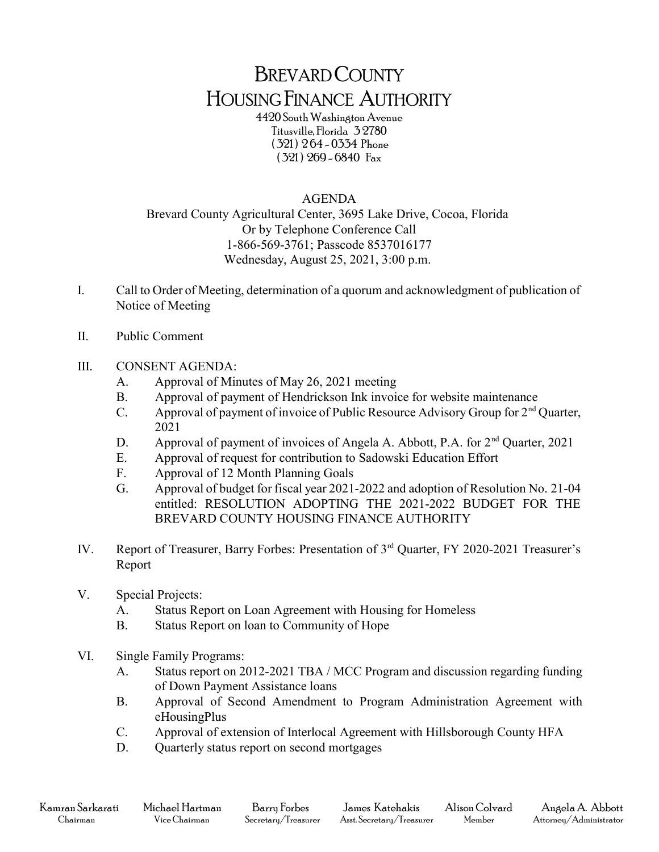## BREVARD COUNTY HOUSING FINANCE AUTHORITY

4420 South Washington Avenue Titusville, Florida 3 2780 ( 321 ) 2 64 - 0334 Phone ( 321 ) 269 - 6840 Fax

## AGENDA

Brevard County Agricultural Center, 3695 Lake Drive, Cocoa, Florida Or by Telephone Conference Call 1-866-569-3761; Passcode 8537016177 Wednesday, August 25, 2021, 3:00 p.m.

- I. Call to Order of Meeting, determination of a quorum and acknowledgment of publication of Notice of Meeting
- II. Public Comment
- III. CONSENT AGENDA:
	- A. Approval of Minutes of May 26, 2021 meeting
	- B. Approval of payment of Hendrickson Ink invoice for website maintenance
	- C. Approval of payment of invoice of Public Resource Advisory Group for 2nd Quarter, 2021
	- D. Approval of payment of invoices of Angela A. Abbott, P.A. for  $2<sup>nd</sup>$  Quarter, 2021
	- E. Approval of request for contribution to Sadowski Education Effort
	- F. Approval of 12 Month Planning Goals
	- G. Approval of budget for fiscal year 2021-2022 and adoption of Resolution No. 21-04 entitled: RESOLUTION ADOPTING THE 2021-2022 BUDGET FOR THE BREVARD COUNTY HOUSING FINANCE AUTHORITY
- IV. Report of Treasurer, Barry Forbes: Presentation of 3rd Quarter, FY 2020-2021 Treasurer's Report
- V. Special Projects:
	- A. Status Report on Loan Agreement with Housing for Homeless
	- B. Status Report on loan to Community of Hope
- VI. Single Family Programs:
	- A. Status report on 2012-2021 TBA / MCC Program and discussion regarding funding of Down Payment Assistance loans
	- B. Approval of Second Amendment to Program Administration Agreement with eHousingPlus
	- C. Approval of extension of Interlocal Agreement with Hillsborough County HFA
	- D. Quarterly status report on second mortgages